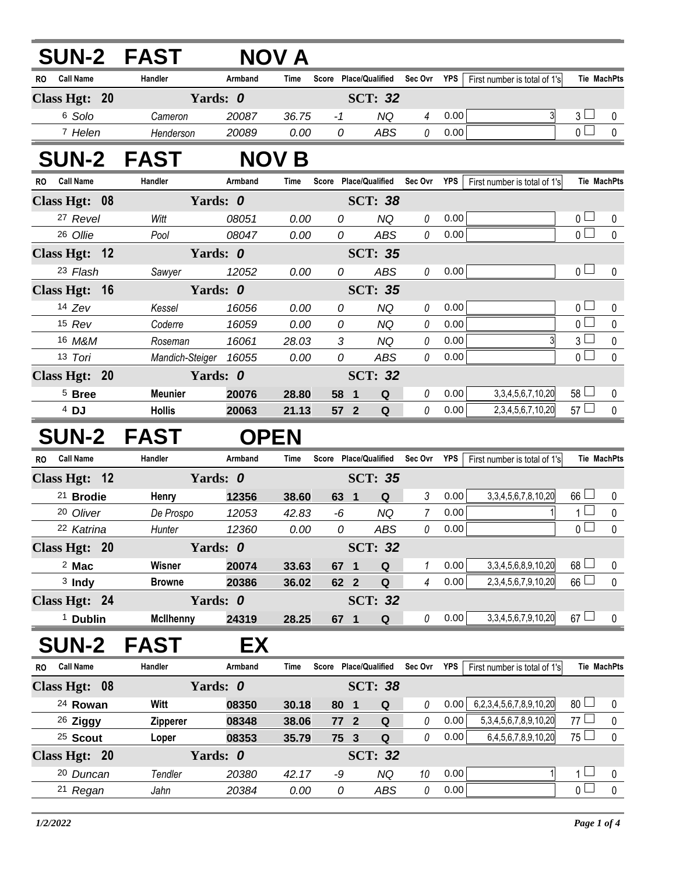| <b>SUN-2 FAST</b>                |                       |                | NOV A         |                       |                  |                |              |                                |                                  |                |
|----------------------------------|-----------------------|----------------|---------------|-----------------------|------------------|----------------|--------------|--------------------------------|----------------------------------|----------------|
| <b>Call Name</b><br>RO           | Handler               | Armband        | Time          | Score Place/Qualified |                  | Sec Ovr        | <b>YPS</b>   | First number is total of 1's   | Tie MachPts                      |                |
| Class Hgt: 20                    | Yards: 0              |                |               |                       | <b>SCT: 32</b>   |                |              |                                |                                  |                |
| 6 Solo                           | Cameron               | 20087          | 36.75         | $-1$                  | <b>NQ</b>        | 4              | 0.00         |                                | 3 <sub>1</sub>                   | 0              |
| 7 Helen                          | Henderson             | 20089          | 0.00          | 0                     | <b>ABS</b>       | 0              | 0.00         |                                | $\overline{0}$                   | $\pmb{0}$      |
| <b>SUN-2 FAST</b>                |                       |                | <b>NOV B</b>  |                       |                  |                |              |                                |                                  |                |
| <b>Call Name</b><br>RO           | Handler               | Armband        | Time          | Score Place/Qualified |                  | Sec Ovr        | YPS          | First number is total of 1's   | <b>Tie MachPts</b>               |                |
| Class Hgt: 08                    | Yards: 0              |                |               |                       | <b>SCT: 38</b>   |                |              |                                |                                  |                |
| 27 Revel                         | Witt                  | 08051          | 0.00          | 0                     | <b>NQ</b>        | $\it{0}$       | 0.00         |                                | 0 <sub>0</sub>                   | 0              |
| 26 Ollie                         | Pool                  | 08047          | 0.00          | 0                     | <b>ABS</b>       | 0              | 0.00         |                                | $\overline{0}$                   | $\mathbf 0$    |
| Class Hgt: 12                    | Yards: 0              |                |               |                       | <b>SCT: 35</b>   |                |              |                                |                                  |                |
| 23 Flash                         | Sawyer                | 12052          | 0.00          | 0                     | <b>ABS</b>       | 0              | 0.00         |                                | 0 <sub>0</sub>                   | $\mathbf{0}$   |
| Class Hgt: 16                    | Yards: 0              |                |               |                       | <b>SCT: 35</b>   |                |              |                                |                                  |                |
| $14$ Zev                         | Kessel                | 16056          | 0.00          | 0                     | <b>NQ</b>        | 0              | 0.00         |                                | 0 <sub>0</sub>                   | 0              |
| 15 Rev                           | Coderre               | 16059          | 0.00          | 0                     | <b>NQ</b>        | 0              | 0.00         |                                | $\overline{0}$                   | $\mathbf 0$    |
| 16 M&M                           | Roseman               | 16061          | 28.03         | 3                     | <b>NQ</b>        | 0              | 0.00         |                                | 3 <sup>L</sup>                   | $\pmb{0}$      |
| 13 Tori                          | Mandich-Steiger 16055 |                | 0.00          | 0                     | <b>ABS</b>       | 0              | 0.00         |                                | $\overline{0}$                   | $\mathbf 0$    |
| Class Hgt: 20                    | Yards: 0              |                |               |                       | <b>SCT: 32</b>   |                |              |                                |                                  |                |
| $5$ Bree                         | <b>Meunier</b>        | 20076          | 28.80         | 58 1                  | Q                | 0              | 0.00         | 3, 3, 4, 5, 6, 7, 10, 20       | $58$ $\Box$                      | 0              |
| $4$ DJ                           | <b>Hollis</b>         | 20063          | 21.13         | 57 2                  | Q                | 0              | 0.00         | 2,3,4,5,6,7,10,20              | $57 \Box$                        | $\mathbf 0$    |
|                                  |                       |                |               |                       |                  |                |              |                                |                                  |                |
| <b>SUN-2 FAST</b>                |                       |                | <b>OPEN</b>   |                       |                  |                |              |                                |                                  |                |
| <b>Call Name</b><br>RO.          | Handler               | Armband        | Time          | Score Place/Qualified |                  | Sec Ovr        | YPS          | First number is total of 1's   | Tie MachPts                      |                |
| Class Hgt: 12                    | Yards: 0              |                |               |                       | <b>SCT: 35</b>   |                |              |                                |                                  |                |
| <sup>21</sup> Brodie             | Henry                 | 12356          | 38.60         | 63 1                  | Q                | $\mathfrak{Z}$ | 0.00         | 3, 3, 4, 5, 6, 7, 8, 10, 20    | $66$ $\Box$                      | 0              |
| 20 Oliver                        | De Prospo             | 12053          | 42.83         | -6                    | <b>NQ</b>        | 7              | 0.00         |                                | $1 \Box$                         | $\pmb{0}$      |
| 22 Katrina                       | Hunter                | 12360          | 0.00          | 0                     | <b>ABS</b>       | 0              | 0.00         |                                | $\overline{0}$                   | $\mathbf 0$    |
| Class Hgt: 20                    | Yards: 0              |                |               |                       | <b>SCT: 32</b>   |                |              |                                |                                  |                |
| $2$ Mac                          | Wisner                | 20074          | 33.63         | 67 1                  | Q                | 1              | 0.00         | 3, 3, 4, 5, 6, 8, 9, 10, 20    | $68$ $\Box$                      | 0              |
| $3$ Indy                         | <b>Browne</b>         | 20386          | 36.02         | 62 2                  | $\mathbf Q$      | $\overline{4}$ | 0.00         | 2, 3, 4, 5, 6, 7, 9, 10, 20    | $66 \Box$                        | $\mathbf 0$    |
| Class Hgt: 24                    | Yards: 0              |                |               |                       | <b>SCT: 32</b>   |                |              |                                |                                  |                |
| <sup>1</sup> Dublin              | <b>McIlhenny</b>      | 24319          | 28.25         | 67 1                  | ${\bf Q}$        | 0              | 0.00         | 3, 3, 4, 5, 6, 7, 9, 10, 20    | $67 \Box$                        | 0              |
| <b>SUN-2</b>                     | <b>FAST</b>           | EX             |               |                       |                  |                |              |                                |                                  |                |
| <b>Call Name</b><br>RO           | Handler               | Armband        | Time          | Score Place/Qualified |                  | Sec Ovr YPS    |              | First number is total of 1's   | <b>Tie MachPts</b>               |                |
| Class Hgt: 08                    | Yards: 0              |                |               |                       | <b>SCT: 38</b>   |                |              |                                |                                  |                |
| <sup>24</sup> Rowan              | Witt                  | 08350          | 30.18         | 80 1                  | Q                | 0              | 0.00         | 6,2,3,4,5,6,7,8,9,10,20        | 80 <sup>1</sup>                  | 0              |
| <sup>26</sup> Ziggy              | Zipperer              | 08348          | 38.06         | 77 2                  | $\mathbf Q$      | 0              | 0.00         | 5, 3, 4, 5, 6, 7, 8, 9, 10, 20 | 77                               | 0              |
| <sup>25</sup> Scout              | Loper                 | 08353          | 35.79         | 75 3                  | ${\bf Q}$        | 0              | 0.00         | 6,4,5,6,7,8,9,10,20            | $75\Box$                         | 0              |
| Class Hgt: 20                    | Yards: 0              |                |               |                       | <b>SCT: 32</b>   |                |              |                                |                                  |                |
| <sup>20</sup> Duncan<br>21 Regan | Tendler               | 20380<br>20384 | 42.17<br>0.00 | -9<br>0               | <b>NQ</b><br>ABS | 10             | 0.00<br>0.00 |                                | 1 <sup>1</sup><br>0 <sub>0</sub> | 0<br>$\pmb{0}$ |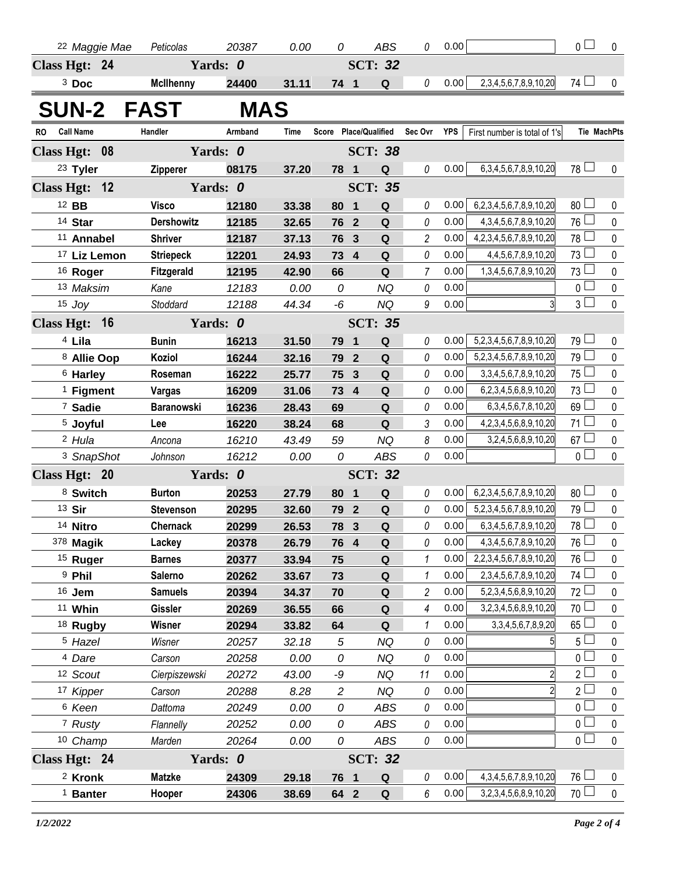|                   |                                   | <sup>22</sup> Maggie Mae | Peticolas                   | 20387          | 0.00           | 0              |                         | <b>ABS</b>               | 0              | 0.00         |                                                           | $\overline{0}$                  | $\mathbf 0$        |
|-------------------|-----------------------------------|--------------------------|-----------------------------|----------------|----------------|----------------|-------------------------|--------------------------|----------------|--------------|-----------------------------------------------------------|---------------------------------|--------------------|
| Class Hgt: 24     |                                   |                          |                             | Yards: 0       |                |                |                         | <b>SCT: 32</b>           |                |              |                                                           |                                 |                    |
|                   | $3$ Doc                           |                          | <b>McIlhenny</b>            | 24400          | 31.11          | 74 1           |                         | Q                        | 0              | 0.00         | 2, 3, 4, 5, 6, 7, 8, 9, 10, 20                            | 74                              | 0                  |
| <b>SUN-2</b>      |                                   |                          | <b>FAST</b>                 | MAS            |                |                |                         |                          |                |              |                                                           |                                 |                    |
|                   | <b>Call Name</b>                  |                          | Handler                     | Armband        |                |                |                         | Score Place/Qualified    | Sec Ovr        | YPS          |                                                           |                                 | <b>Tie MachPts</b> |
| <b>RO</b>         |                                   |                          |                             |                | Time           |                |                         |                          |                |              | First number is total of 1's                              |                                 |                    |
| Class Hgt: 08     |                                   |                          |                             | Yards: 0       |                |                |                         | <b>SCT: 38</b>           |                |              |                                                           | 78                              |                    |
|                   | 23 Tyler                          |                          | <b>Zipperer</b>             | 08175          | 37.20          | 78             | $\blacksquare$          | Q                        | 0              | 0.00         | 6, 3, 4, 5, 6, 7, 8, 9, 10, 20                            |                                 | 0                  |
| <b>Class Hgt:</b> |                                   | 12                       |                             | Yards: 0       |                |                |                         | <b>SCT: 35</b>           |                |              |                                                           |                                 |                    |
| 12 BB             |                                   |                          | <b>Visco</b>                | 12180          | 33.38          | 80             | $\overline{\mathbf{1}}$ | $\mathbf Q$              | 0              | 0.00         | 6,2,3,4,5,6,7,8,9,10,20                                   | $80$ $\Box$                     | 0                  |
|                   | 14 Star                           |                          | <b>Dershowitz</b>           | 12185          | 32.65          | 76             | $\overline{\mathbf{2}}$ | $\mathbf Q$              | 0              | 0.00         | 4, 3, 4, 5, 6, 7, 8, 9, 10, 20                            | 76□                             | 0                  |
|                   | 11 Annabel                        |                          | <b>Shriver</b>              | 12187          | 37.13          | 76             | $\overline{\mathbf{3}}$ | Q                        | $\overline{c}$ | 0.00<br>0.00 | 4,2,3,4,5,6,7,8,9,10,20                                   | $78\Box$<br>73 <sup>1</sup>     | 0<br>0             |
|                   |                                   | 17 Liz Lemon             | <b>Striepeck</b>            | 12201          | 24.93          | 73 4           |                         | Q                        | 0              |              | 4,4,5,6,7,8,9,10,20                                       | $73\Box$                        |                    |
|                   | 16 Roger                          |                          | Fitzgerald                  | 12195          | 42.90          | 66<br>0        |                         | $\mathbf Q$<br><b>NQ</b> | $\overline{7}$ | 0.00<br>0.00 | 1,3,4,5,6,7,8,9,10,20                                     | $\overline{0}$                  | 0<br>0             |
|                   | 13 Maksim<br>$15$ Joy             |                          | Kane<br>Stoddard            | 12183<br>12188 | 0.00<br>44.34  | $-6$           |                         | <b>NQ</b>                | 0<br>9         | 0.00         | $\overline{3}$                                            | $3\Box$                         | 0                  |
|                   |                                   |                          |                             |                |                |                |                         |                          |                |              |                                                           |                                 |                    |
| Class Hgt: 16     |                                   |                          |                             | Yards: 0       |                |                |                         | <b>SCT: 35</b>           |                |              |                                                           |                                 |                    |
|                   | $4$ Lila                          |                          | <b>Bunin</b>                | 16213          | 31.50          | 79             | $\mathbf 1$             | $\mathbf Q$              | 0              | 0.00         | 5,2,3,4,5,6,7,8,9,10,20                                   | 79 <sup>1</sup><br>$79 \Box$    | 0                  |
|                   | 8 Allie Oop                       |                          | Koziol                      | 16244          | 32.16          | 79             | $\overline{2}$          | $\mathbf Q$              | 0              | 0.00<br>0.00 | 5,2,3,4,5,6,7,8,9,10,20                                   | $75\Box$                        | 0                  |
|                   | <sup>6</sup> Harley               |                          | Roseman                     | 16222          | 25.77          | 75             | $\overline{\mathbf{3}}$ | Q                        | 0              | 0.00         | 3, 3, 4, 5, 6, 7, 8, 9, 10, 20<br>6,2,3,4,5,6,8,9,10,20   | $73 \Box$                       | 0                  |
|                   | $1$ Figment<br><sup>7</sup> Sadie |                          | Vargas<br><b>Baranowski</b> | 16209          | 31.06          | 73<br>69       | $\overline{4}$          | Q<br>$\mathbf Q$         | 0<br>0         | 0.00         | 6, 3, 4, 5, 6, 7, 8, 10, 20                               | 69                              | 0<br>0             |
|                   | <sup>5</sup> Joyful               |                          | Lee                         | 16236<br>16220 | 28.43<br>38.24 | 68             |                         | Q                        | 3              | 0.00         | 4, 2, 3, 4, 5, 6, 8, 9, 10, 20                            | $71 \perp$                      | 0                  |
|                   | <sup>2</sup> Hula                 |                          | Ancona                      | 16210          | 43.49          | 59             |                         | <b>NQ</b>                | 8              | 0.00         | 3,2,4,5,6,8,9,10,20                                       | $67 \Box$                       | $\pmb{0}$          |
|                   |                                   | <sup>3</sup> SnapShot    | Johnson                     | 16212          | 0.00           | 0              |                         | <b>ABS</b>               | 0              | 0.00         |                                                           | $\overline{0}$                  | $\pmb{0}$          |
|                   |                                   |                          |                             | Yards: 0       |                |                |                         | <b>SCT: 32</b>           |                |              |                                                           |                                 |                    |
| Class Hgt: 20     |                                   |                          |                             |                |                |                |                         |                          |                | 0.00         |                                                           | $80$ $\Box$                     |                    |
|                   | 8 Switch                          |                          | <b>Burton</b>               | 20253          | 27.79          | 80             | $\overline{\mathbf{1}}$ | Q                        | 0              | 0.00         | 6,2,3,4,5,6,7,8,9,10,20                                   | $79 \Box$                       | 0                  |
| 13 Sir            |                                   |                          | <b>Stevenson</b>            | 20295          | 32.60          | 79<br>78 3     | $\overline{2}$          | Q<br>Q                   | 0              | 0.00         | 5,2,3,4,5,6,7,8,9,10,20<br>6, 3, 4, 5, 6, 7, 8, 9, 10, 20 | 78 <sup><math>\Box</math></sup> | 0<br>$\mathbf 0$   |
|                   | 14 Nitro<br>378 Magik             |                          | <b>Chernack</b>             | 20299          | 26.53          |                |                         |                          | 0              | 0.00         | 4, 3, 4, 5, 6, 7, 8, 9, 10, 20                            | $76\Box$                        | 0                  |
|                   | <sup>15</sup> Ruger               |                          | Lackey<br><b>Barnes</b>     | 20378<br>20377 | 26.79<br>33.94 | 76 4<br>75     |                         | Q<br>$\mathbf Q$         | 0<br>1         | 0.00         | 2,2,3,4,5,6,7,8,9,10,20                                   | 76 $\Box$                       | $\pmb{0}$          |
|                   | <sup>9</sup> Phil                 |                          | <b>Salerno</b>              | 20262          | 33.67          | 73             |                         | $\mathbf Q$              | 1              | 0.00         | 2,3,4,5,6,7,8,9,10,20                                     | 74 $\Box$                       | 0                  |
|                   | 16 Jem                            |                          | <b>Samuels</b>              | 20394          | 34.37          | 70             |                         | $\mathbf Q$              | $\overline{c}$ | 0.00         | 5,2,3,4,5,6,8,9,10,20                                     | $72\Box$                        | $\pmb{0}$          |
|                   | 11 Whin                           |                          | Gissler                     | 20269          | 36.55          | 66             |                         | $\mathbf Q$              | $\overline{4}$ | 0.00         | 3,2,3,4,5,6,8,9,10,20                                     | 70 <sup>2</sup>                 | 0                  |
|                   | <sup>18</sup> Rugby               |                          | Wisner                      | 20294          | 33.82          | 64             |                         | $\mathbf Q$              | 1              | 0.00         | 3, 3, 4, 5, 6, 7, 8, 9, 20                                | $65\Box$                        | $\pmb{0}$          |
|                   | <sup>5</sup> Hazel                |                          | Wisner                      | 20257          | 32.18          | $\sqrt{5}$     |                         | <b>NQ</b>                | 0              | 0.00         | 5                                                         | $5\Box$                         | 0                  |
|                   | 4 Dare                            |                          | Carson                      | 20258          | 0.00           | 0              |                         | <b>NQ</b>                | 0              | 0.00         |                                                           | $\overline{0}$                  | $\pmb{0}$          |
|                   | 12 Scout                          |                          | Cierpiszewski               | 20272          | 43.00          | -9             |                         | <b>NQ</b>                | 11             | 0.00         | $\overline{2}$                                            | $2\overline{\Box}$              | $\pmb{0}$          |
|                   | 17 Kipper                         |                          | Carson                      | 20288          | 8.28           | $\overline{c}$ |                         | NQ                       | 0              | 0.00         | $\overline{2}$                                            | $2^{\square}$                   | $\pmb{0}$          |
|                   | 6 Keen                            |                          | Dattoma                     | 20249          | 0.00           | 0              |                         | ABS                      | 0              | 0.00         |                                                           | $\overline{0}$                  | $\pmb{0}$          |
|                   | 7 Rusty                           |                          | Flannelly                   | 20252          | 0.00           | 0              |                         | ABS                      | 0              | 0.00         |                                                           | $\overline{0}$                  | $\pmb{0}$          |
|                   | 10 Champ                          |                          | Marden                      | 20264          | 0.00           | 0              |                         | ABS                      | 0              | 0.00         |                                                           | $\overline{0}$                  | $\pmb{0}$          |
| Class Hgt: 24     |                                   |                          |                             | Yards: 0       |                |                |                         | <b>SCT: 32</b>           |                |              |                                                           |                                 |                    |
|                   | <sup>2</sup> Kronk                |                          | <b>Matzke</b>               | 24309          | 29.18          | 76 1           |                         | Q                        | 0              | 0.00         | 4, 3, 4, 5, 6, 7, 8, 9, 10, 20                            | $76 \Box$                       | 0                  |
|                   | <sup>1</sup> Banter               |                          | Hooper                      | 24306          | 38.69          | 64 2           |                         | Q                        | 6              | 0.00         | 3,2,3,4,5,6,8,9,10,20                                     | 70 $\Box$                       | $\pmb{0}$          |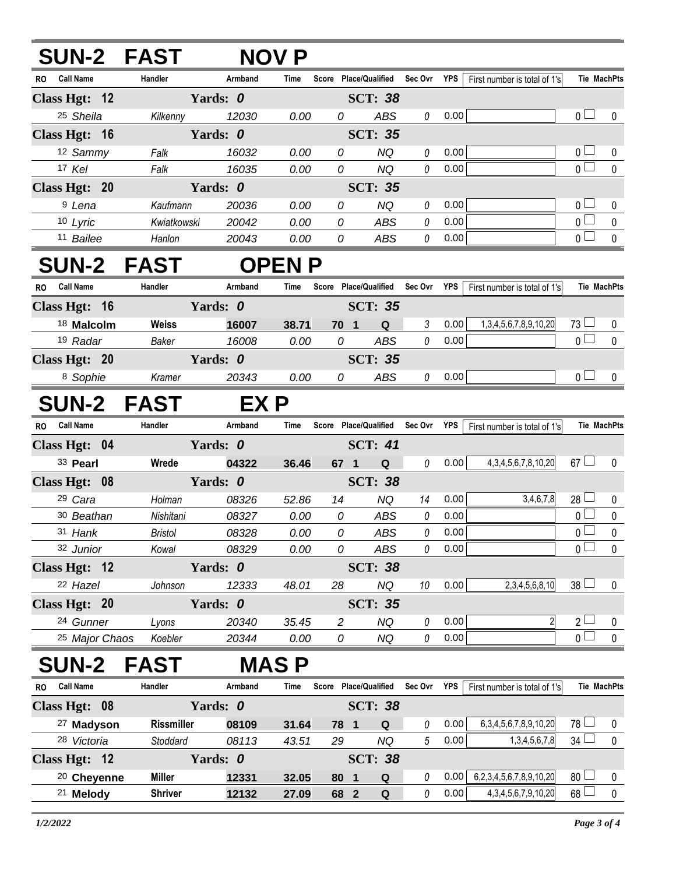## **SUN-2 FAST NOV P**

| <b>Call Name</b><br>RO. | Handler     | Armband  | Time | Score | <b>Place/Qualified</b><br>Sec Ovr |   | <b>YPS</b> | First number is total of 1's |               | <b>Tie MachPts</b> |
|-------------------------|-------------|----------|------|-------|-----------------------------------|---|------------|------------------------------|---------------|--------------------|
| Class Hgt: 12           |             | Yards: 0 |      |       | <b>SCT: 38</b>                    |   |            |                              |               |                    |
| <sup>25</sup> Sheila    | Kilkenny    | 12030    | 0.00 | 0     | ABS                               | 0 | 0.00       |                              | $\cap$ $\Box$ | $\Omega$           |
| Class Hgt: 16           |             | Yards: 0 |      |       | <b>SCT: 35</b>                    |   |            |                              |               |                    |
| 12 Sammy                | Falk        | 16032    | 0.00 | 0     | <b>NQ</b>                         | 0 | 0.00       |                              |               | $\Omega$           |
| 17 Kel                  | Falk        | 16035    | 0.00 | 0     | NQ                                | 0 | 0.00       |                              |               |                    |
| Class Hgt: 20           |             | Yards: 0 |      |       | <b>SCT: 35</b>                    |   |            |                              |               |                    |
| <sup>9</sup> Lena       | Kaufmann    | 20036    | 0.00 | 0     | NQ                                | 0 | 0.00       |                              |               | $\Omega$           |
| 10 Lyric                | Kwiatkowski | 20042    | 0.00 | 0     | ABS                               | 0 | 0.00       |                              |               | $\Omega$           |
| <sup>11</sup> Bailee    | Hanlon      | 20043    | 0.00 | 0     | ABS                               | 0 | 0.00       |                              |               | $\Omega$           |

## **SUN-2 FAST OPEN P**

| R0 | <b>Call Name</b>      | <b>Handler</b> | Armband                           | Time  | Score          | <b>Place/Qualified</b> | Sec Ovr | <b>YPS</b> | First number is total of 1's |           | Tie MachPts |
|----|-----------------------|----------------|-----------------------------------|-------|----------------|------------------------|---------|------------|------------------------------|-----------|-------------|
|    | Class Hgt: 16         |                | <b>SCT: 35</b><br>Yards: <i>0</i> |       |                |                        |         |            |                              |           |             |
|    | <sup>18</sup> Malcolm | <b>Weiss</b>   | 16007                             | 38.71 | 70             | Q                      |         | 0.00       | 1,3,4,5,6,7,8,9,10,20        | $73 \Box$ |             |
|    | <sup>19</sup> Radar   | Baker          | 16008                             | 0.00  |                | ABS                    |         | 0.00       |                              |           |             |
|    | Class Hgt: 20         |                | Yards: <i>0</i>                   |       | <b>SCT: 35</b> |                        |         |            |                              |           |             |
|    | <sup>8</sup> Sophie   | Kramer         | 20343                             | 0.00  |                | ABS                    |         | 0.00       |                              |           |             |

## **SUN-2 FAST EX P**

| <b>Call Name</b><br>RO.   | Handler        | Armband  | Time           | Score          |                | <b>Place/Qualified</b> | Sec Ovr        | <b>YPS</b> | First number is total of 1's |                                | <b>Tie MachPts</b> |  |  |  |  |
|---------------------------|----------------|----------|----------------|----------------|----------------|------------------------|----------------|------------|------------------------------|--------------------------------|--------------------|--|--|--|--|
| Class Hgt: 04             | Yards: 0       |          |                |                |                |                        | <b>SCT: 41</b> |            |                              |                                |                    |  |  |  |  |
| 33 Pearl                  | Wrede          | 04322    | 36.46          | 67             | $\blacksquare$ | Q                      | $\theta$       | 0.00       | 4, 3, 4, 5, 6, 7, 8, 10, 20  | $67 \Box$                      | $\Omega$           |  |  |  |  |
| Class Hgt: 08             | Yards: 0       |          |                | <b>SCT: 38</b> |                |                        |                |            |                              |                                |                    |  |  |  |  |
| <sup>29</sup> Cara        | Holman         | 08326    | 52.86          | 14             |                | NQ                     | 14             | 0.00       | 3,4,6,7,8                    | $\overline{\phantom{a}}$<br>28 | $\Omega$           |  |  |  |  |
| 30 Beathan                | Nishitani      | 08327    | 0.00           | 0              |                | ABS                    | $\theta$       | 0.00       |                              | $\overline{0}$ $\overline{1}$  | $\Omega$           |  |  |  |  |
| 31 Hank                   | <b>Bristol</b> | 08328    | 0.00           | 0              |                | <b>ABS</b>             | $\theta$       | 0.00       |                              | $\overline{0}$ $\overline{a}$  | $\Omega$           |  |  |  |  |
| 32 Junior                 | Kowal          | 08329    | 0.00           | 0              |                | ABS                    | 0              | 0.00       |                              | 0 <sub>0</sub>                 | $\Omega$           |  |  |  |  |
| Class Hgt: 12             |                | Yards: 0 |                |                |                | <b>SCT: 38</b>         |                |            |                              |                                |                    |  |  |  |  |
| 22 Hazel                  | Johnson        | 12333    | 48.01          | 28             |                | NQ                     | 10             | 0.00       | 2,3,4,5,6,8,10               | $38 \Box$                      | $\Omega$           |  |  |  |  |
| Class Hgt: 20             |                | Yards: 0 | <b>SCT: 35</b> |                |                |                        |                |            |                              |                                |                    |  |  |  |  |
| 24 Gunner                 | Lyons          | 20340    | 35.45          | 2              |                | NQ.                    | $\theta$       | 0.00       |                              | 2 <sub>1</sub>                 | $\Omega$           |  |  |  |  |
| <sup>25</sup> Major Chaos | Koebler        | 20344    | 0.00           | 0              |                | NQ                     | 0              | 0.00       |                              | $0 -$                          |                    |  |  |  |  |

## **SUN-2 FAST MAS P**

| RO | <b>Call Name</b>        | <b>Handler</b>    | Armband         | Time           | Score          | <b>Place/Qualified</b> |    | Sec Ovr | <b>YPS</b> | First number is total of 1's   |    | Tie MachPts |
|----|-------------------------|-------------------|-----------------|----------------|----------------|------------------------|----|---------|------------|--------------------------------|----|-------------|
|    | <b>Class Hgt:</b><br>08 |                   | Yards: <i>0</i> |                | <b>SCT: 38</b> |                        |    |         |            |                                |    |             |
|    | 27<br><b>Madyson</b>    | <b>Rissmiller</b> | 08109           | 31.64          | 78             | -1                     | Q  |         | 0.00       | 6, 3, 4, 5, 6, 7, 8, 9, 10, 20 | 78 | 0           |
|    | 28 Victoria             | Stoddard          | 08113           | 43.51          | 29             |                        | NQ | 5       | 0.00       | 1,3,4,5,6,7,8                  | 34 | $\Omega$    |
|    | Class Hgt: 12           | Yards: <i>0</i>   |                 | <b>SCT: 38</b> |                |                        |    |         |            |                                |    |             |
|    | <sup>20</sup> Cheyenne  | Miller            | 12331           | 32.05          | 80             | -1                     | Q  |         | 0.00       | 6,2,3,4,5,6,7,8,9,10,20        | 80 | 0           |
|    | 21 Melody               | <b>Shriver</b>    | 12132           | 27.09          | 68             | $\sqrt{2}$             | Q  |         | 0.00       | 4, 3, 4, 5, 6, 7, 9, 10, 20    | 68 | $\Omega$    |